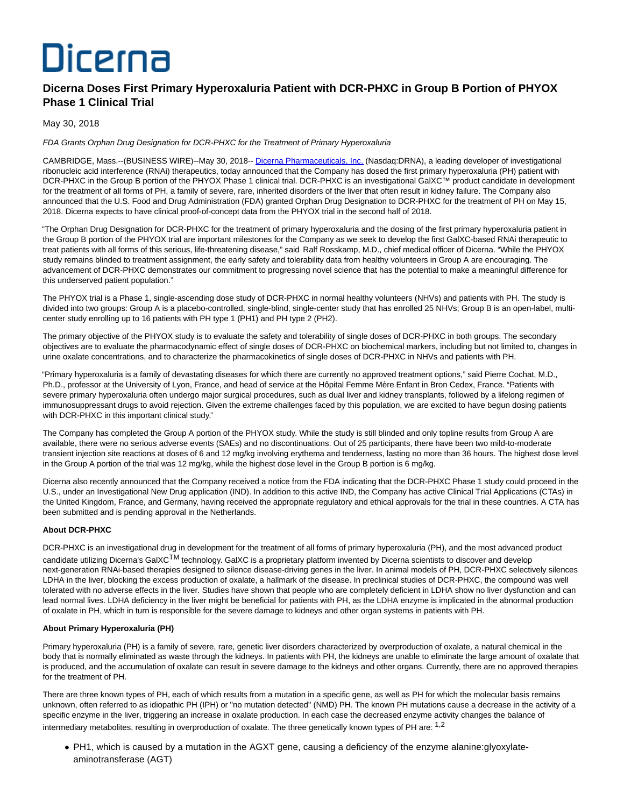# Dicerna

## **Dicerna Doses First Primary Hyperoxaluria Patient with DCR-PHXC in Group B Portion of PHYOX Phase 1 Clinical Trial**

### May 30, 2018

FDA Grants Orphan Drug Designation for DCR-PHXC for the Treatment of Primary Hyperoxaluria

CAMBRIDGE, Mass.--(BUSINESS WIRE)--May 30, 2018-- [Dicerna Pharmaceuticals, Inc. \(](http://cts.businesswire.com/ct/CT?id=smartlink&url=http%3A%2F%2Fdicerna.com%2F&esheet=51813831&newsitemid=20180530005252&lan=en-US&anchor=Dicerna+Pharmaceuticals%2C+Inc.&index=1&md5=404f37d46438e00844b248e1e9fde5ef)Nasdaq:DRNA), a leading developer of investigational ribonucleic acid interference (RNAi) therapeutics, today announced that the Company has dosed the first primary hyperoxaluria (PH) patient with DCR-PHXC in the Group B portion of the PHYOX Phase 1 clinical trial. DCR-PHXC is an investigational GalXC™ product candidate in development for the treatment of all forms of PH, a family of severe, rare, inherited disorders of the liver that often result in kidney failure. The Company also announced that the U.S. Food and Drug Administration (FDA) granted Orphan Drug Designation to DCR-PHXC for the treatment of PH on May 15, 2018. Dicerna expects to have clinical proof-of-concept data from the PHYOX trial in the second half of 2018.

"The Orphan Drug Designation for DCR-PHXC for the treatment of primary hyperoxaluria and the dosing of the first primary hyperoxaluria patient in the Group B portion of the PHYOX trial are important milestones for the Company as we seek to develop the first GalXC-based RNAi therapeutic to treat patients with all forms of this serious, life-threatening disease," said Ralf Rosskamp, M.D., chief medical officer of Dicerna. "While the PHYOX study remains blinded to treatment assignment, the early safety and tolerability data from healthy volunteers in Group A are encouraging. The advancement of DCR-PHXC demonstrates our commitment to progressing novel science that has the potential to make a meaningful difference for this underserved patient population."

The PHYOX trial is a Phase 1, single-ascending dose study of DCR-PHXC in normal healthy volunteers (NHVs) and patients with PH. The study is divided into two groups: Group A is a placebo-controlled, single-blind, single-center study that has enrolled 25 NHVs; Group B is an open-label, multicenter study enrolling up to 16 patients with PH type 1 (PH1) and PH type 2 (PH2).

The primary objective of the PHYOX study is to evaluate the safety and tolerability of single doses of DCR-PHXC in both groups. The secondary objectives are to evaluate the pharmacodynamic effect of single doses of DCR-PHXC on biochemical markers, including but not limited to, changes in urine oxalate concentrations, and to characterize the pharmacokinetics of single doses of DCR-PHXC in NHVs and patients with PH.

"Primary hyperoxaluria is a family of devastating diseases for which there are currently no approved treatment options," said Pierre Cochat, M.D., Ph.D., professor at the University of Lyon, France, and head of service at the Hôpital Femme Mère Enfant in Bron Cedex, France. "Patients with severe primary hyperoxaluria often undergo major surgical procedures, such as dual liver and kidney transplants, followed by a lifelong regimen of immunosuppressant drugs to avoid rejection. Given the extreme challenges faced by this population, we are excited to have begun dosing patients with DCR-PHXC in this important clinical study."

The Company has completed the Group A portion of the PHYOX study. While the study is still blinded and only topline results from Group A are available, there were no serious adverse events (SAEs) and no discontinuations. Out of 25 participants, there have been two mild-to-moderate transient injection site reactions at doses of 6 and 12 mg/kg involving erythema and tenderness, lasting no more than 36 hours. The highest dose level in the Group A portion of the trial was 12 mg/kg, while the highest dose level in the Group B portion is 6 mg/kg.

Dicerna also recently announced that the Company received a notice from the FDA indicating that the DCR-PHXC Phase 1 study could proceed in the U.S., under an Investigational New Drug application (IND). In addition to this active IND, the Company has active Clinical Trial Applications (CTAs) in the United Kingdom, France, and Germany, having received the appropriate regulatory and ethical approvals for the trial in these countries. A CTA has been submitted and is pending approval in the Netherlands.

#### **About DCR-PHXC**

DCR-PHXC is an investigational drug in development for the treatment of all forms of primary hyperoxaluria (PH), and the most advanced product candidate utilizing Dicerna's GalXC<sup>TM</sup> technology. GalXC is a proprietary platform invented by Dicerna scientists to discover and develop next-generation RNAi-based therapies designed to silence disease-driving genes in the liver. In animal models of PH, DCR-PHXC selectively silences LDHA in the liver, blocking the excess production of oxalate, a hallmark of the disease. In preclinical studies of DCR-PHXC, the compound was well tolerated with no adverse effects in the liver. Studies have shown that people who are completely deficient in LDHA show no liver dysfunction and can lead normal lives. LDHA deficiency in the liver might be beneficial for patients with PH, as the LDHA enzyme is implicated in the abnormal production of oxalate in PH, which in turn is responsible for the severe damage to kidneys and other organ systems in patients with PH.

#### **About Primary Hyperoxaluria (PH)**

Primary hyperoxaluria (PH) is a family of severe, rare, genetic liver disorders characterized by overproduction of oxalate, a natural chemical in the body that is normally eliminated as waste through the kidneys. In patients with PH, the kidneys are unable to eliminate the large amount of oxalate that is produced, and the accumulation of oxalate can result in severe damage to the kidneys and other organs. Currently, there are no approved therapies for the treatment of PH.

There are three known types of PH, each of which results from a mutation in a specific gene, as well as PH for which the molecular basis remains unknown, often referred to as idiopathic PH (IPH) or "no mutation detected" (NMD) PH. The known PH mutations cause a decrease in the activity of a specific enzyme in the liver, triggering an increase in oxalate production. In each case the decreased enzyme activity changes the balance of intermediary metabolites, resulting in overproduction of oxalate. The three genetically known types of PH are:  $1.2$ 

PH1, which is caused by a mutation in the AGXT gene, causing a deficiency of the enzyme alanine:glyoxylateaminotransferase (AGT)